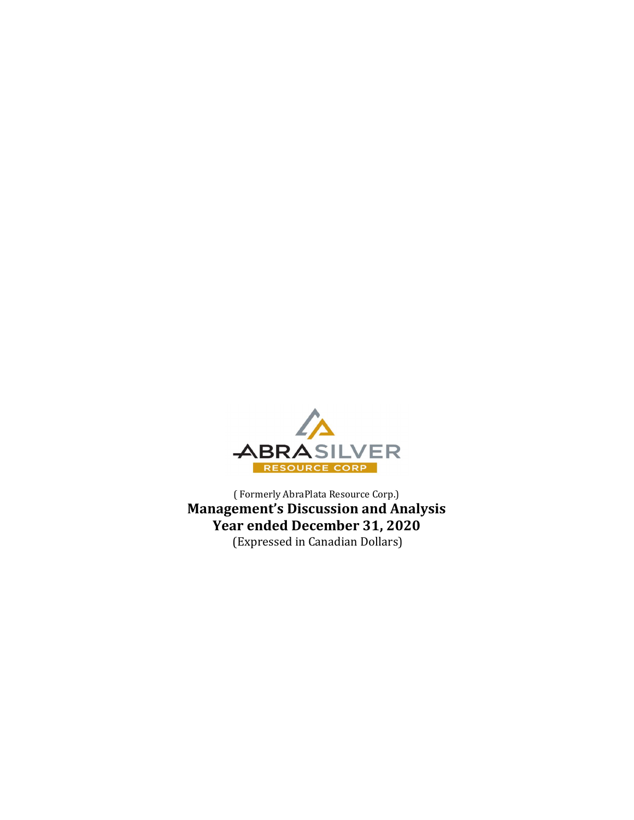

( Formerly AbraPlata Resource Corp.) Management's Discussion and Analysis Year ended December 31, 2020 (Expressed in Canadian Dollars)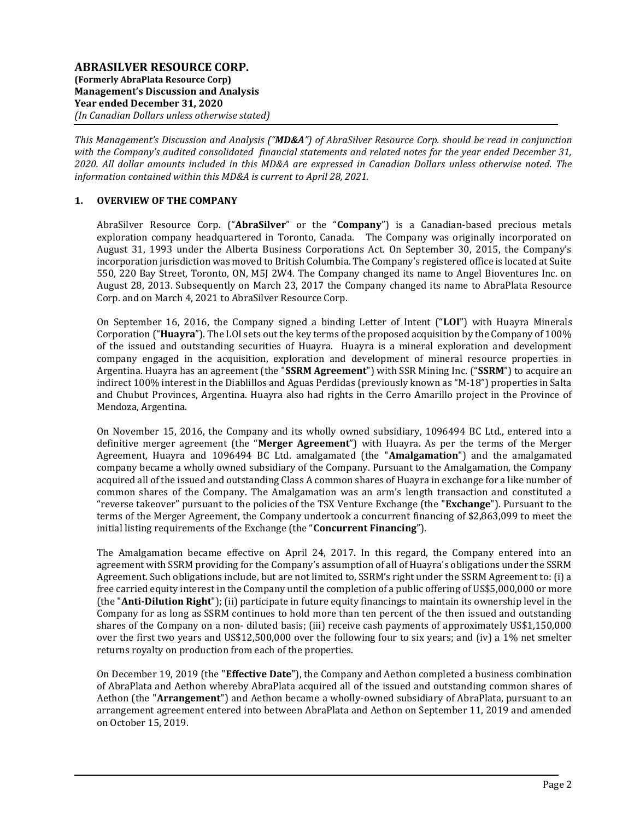This Management's Discussion and Analysis ("MD&A") of AbraSilver Resource Corp. should be read in conjunction with the Company's audited consolidated financial statements and related notes for the year ended December 31, 2020. All dollar amounts included in this MD&A are expressed in Canadian Dollars unless otherwise noted. The information contained within this MD&A is current to April 28, 2021.

## 1. OVERVIEW OF THE COMPANY

AbraSilver Resource Corp. ("AbraSilver" or the "Company") is a Canadian-based precious metals exploration company headquartered in Toronto, Canada. The Company was originally incorporated on August 31, 1993 under the Alberta Business Corporations Act. On September 30, 2015, the Company's incorporation jurisdiction was moved to British Columbia. The Company's registered office is located at Suite 550, 220 Bay Street, Toronto, ON, M5J 2W4. The Company changed its name to Angel Bioventures Inc. on August 28, 2013. Subsequently on March 23, 2017 the Company changed its name to AbraPlata Resource Corp. and on March 4, 2021 to AbraSilver Resource Corp.

On September 16, 2016, the Company signed a binding Letter of Intent ("LOI") with Huayra Minerals Corporation ("Huayra"). The LOI sets out the key terms of the proposed acquisition by the Company of 100% of the issued and outstanding securities of Huayra. Huayra is a mineral exploration and development company engaged in the acquisition, exploration and development of mineral resource properties in Argentina. Huayra has an agreement (the "SSRM Agreement") with SSR Mining Inc. ("SSRM") to acquire an indirect 100% interest in the Diablillos and Aguas Perdidas (previously known as "M-18") properties in Salta and Chubut Provinces, Argentina. Huayra also had rights in the Cerro Amarillo project in the Province of Mendoza, Argentina.

On November 15, 2016, the Company and its wholly owned subsidiary, 1096494 BC Ltd., entered into a definitive merger agreement (the "Merger Agreement") with Huayra. As per the terms of the Merger Agreement, Huayra and 1096494 BC Ltd. amalgamated (the "Amalgamation") and the amalgamated company became a wholly owned subsidiary of the Company. Pursuant to the Amalgamation, the Company acquired all of the issued and outstanding Class A common shares of Huayra in exchange for a like number of common shares of the Company. The Amalgamation was an arm's length transaction and constituted a "reverse takeover" pursuant to the policies of the TSX Venture Exchange (the "Exchange"). Pursuant to the terms of the Merger Agreement, the Company undertook a concurrent financing of \$2,863,099 to meet the initial listing requirements of the Exchange (the "**Concurrent Financing**").

The Amalgamation became effective on April 24, 2017. In this regard, the Company entered into an agreement with SSRM providing for the Company's assumption of all of Huayra's obligations under the SSRM Agreement. Such obligations include, but are not limited to, SSRM's right under the SSRM Agreement to: (i) a free carried equity interest in the Company until the completion of a public offering of US\$5,000,000 or more (the "Anti-Dilution Right"); (ii) participate in future equity financings to maintain its ownership level in the Company for as long as SSRM continues to hold more than ten percent of the then issued and outstanding shares of the Company on a non- diluted basis; (iii) receive cash payments of approximately US\$1,150,000 over the first two years and US\$12,500,000 over the following four to six years; and (iv) a 1% net smelter returns royalty on production from each of the properties.

On December 19, 2019 (the "Effective Date"), the Company and Aethon completed a business combination of AbraPlata and Aethon whereby AbraPlata acquired all of the issued and outstanding common shares of Aethon (the "Arrangement") and Aethon became a wholly-owned subsidiary of AbraPlata, pursuant to an arrangement agreement entered into between AbraPlata and Aethon on September 11, 2019 and amended on October 15, 2019.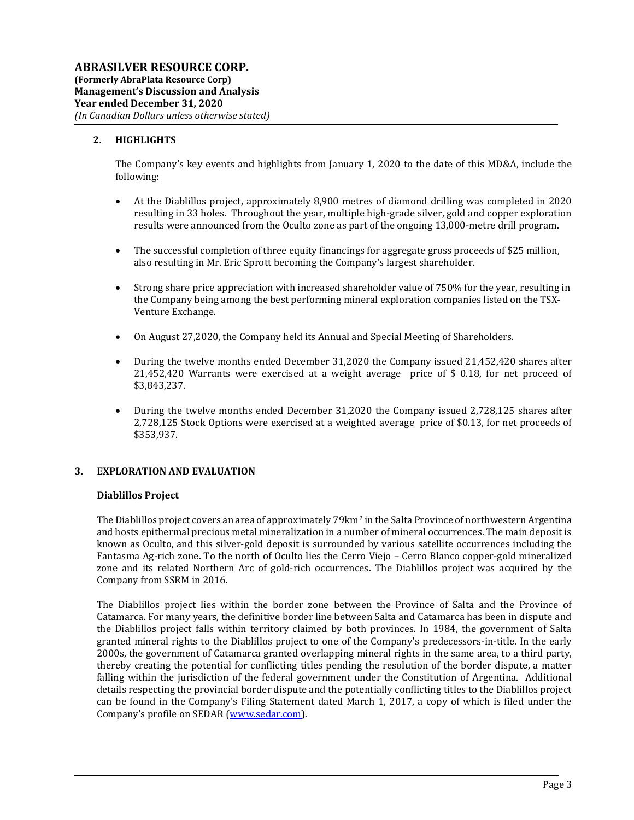## 2. HIGHLIGHTS

The Company's key events and highlights from January 1, 2020 to the date of this MD&A, include the following:

- At the Diablillos project, approximately 8,900 metres of diamond drilling was completed in 2020 resulting in 33 holes. Throughout the year, multiple high-grade silver, gold and copper exploration results were announced from the Oculto zone as part of the ongoing 13,000-metre drill program.
- The successful completion of three equity financings for aggregate gross proceeds of \$25 million, also resulting in Mr. Eric Sprott becoming the Company's largest shareholder.
- Strong share price appreciation with increased shareholder value of 750% for the year, resulting in the Company being among the best performing mineral exploration companies listed on the TSX-Venture Exchange.
- On August 27,2020, the Company held its Annual and Special Meeting of Shareholders.
- During the twelve months ended December 31,2020 the Company issued 21,452,420 shares after 21,452,420 Warrants were exercised at a weight average price of \$ 0.18, for net proceed of \$3,843,237.
- During the twelve months ended December 31,2020 the Company issued 2,728,125 shares after 2,728,125 Stock Options were exercised at a weighted average price of \$0.13, for net proceeds of \$353,937.

### 3. EXPLORATION AND EVALUATION

#### Diablillos Project

The Diablillos project covers an area of approximately 79km<sup>2</sup> in the Salta Province of northwestern Argentina and hosts epithermal precious metal mineralization in a number of mineral occurrences. The main deposit is known as Oculto, and this silver-gold deposit is surrounded by various satellite occurrences including the Fantasma Ag-rich zone. To the north of Oculto lies the Cerro Viejo – Cerro Blanco copper-gold mineralized zone and its related Northern Arc of gold-rich occurrences. The Diablillos project was acquired by the Company from SSRM in 2016.

The Diablillos project lies within the border zone between the Province of Salta and the Province of Catamarca. For many years, the definitive border line between Salta and Catamarca has been in dispute and the Diablillos project falls within territory claimed by both provinces. In 1984, the government of Salta granted mineral rights to the Diablillos project to one of the Company's predecessors-in-title. In the early 2000s, the government of Catamarca granted overlapping mineral rights in the same area, to a third party, thereby creating the potential for conflicting titles pending the resolution of the border dispute, a matter falling within the jurisdiction of the federal government under the Constitution of Argentina. Additional details respecting the provincial border dispute and the potentially conflicting titles to the Diablillos project can be found in the Company's Filing Statement dated March 1, 2017, a copy of which is filed under the Company's profile on SEDAR (www.sedar.com).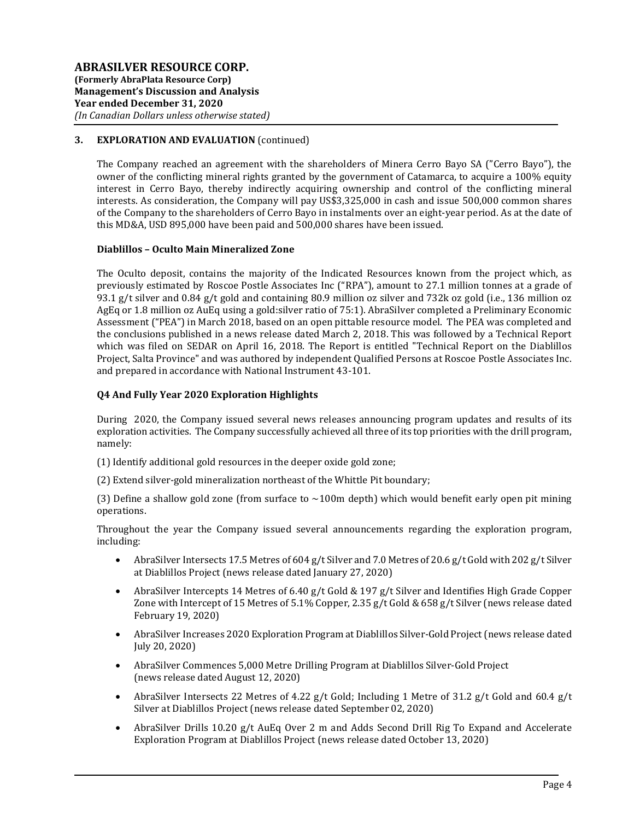## 3. EXPLORATION AND EVALUATION (continued)

The Company reached an agreement with the shareholders of Minera Cerro Bayo SA ("Cerro Bayo"), the owner of the conflicting mineral rights granted by the government of Catamarca, to acquire a 100% equity interest in Cerro Bayo, thereby indirectly acquiring ownership and control of the conflicting mineral interests. As consideration, the Company will pay US\$3,325,000 in cash and issue 500,000 common shares of the Company to the shareholders of Cerro Bayo in instalments over an eight-year period. As at the date of this MD&A, USD 895,000 have been paid and 500,000 shares have been issued.

#### Diablillos – Oculto Main Mineralized Zone

The Oculto deposit, contains the majority of the Indicated Resources known from the project which, as previously estimated by Roscoe Postle Associates Inc ("RPA"), amount to 27.1 million tonnes at a grade of 93.1 g/t silver and 0.84 g/t gold and containing 80.9 million oz silver and 732k oz gold (i.e., 136 million oz AgEq or 1.8 million oz AuEq using a gold:silver ratio of 75:1). AbraSilver completed a Preliminary Economic Assessment ("PEA") in March 2018, based on an open pittable resource model. The PEA was completed and the conclusions published in a news release dated March 2, 2018. This was followed by a Technical Report which was filed on SEDAR on April 16, 2018. The Report is entitled "Technical Report on the Diablillos Project, Salta Province" and was authored by independent Qualified Persons at Roscoe Postle Associates Inc. and prepared in accordance with National Instrument 43-101.

### Q4 And Fully Year 2020 Exploration Highlights

During 2020, the Company issued several news releases announcing program updates and results of its exploration activities. The Company successfully achieved all three of its top priorities with the drill program, namely:

- (1) Identify additional gold resources in the deeper oxide gold zone;
- (2) Extend silver-gold mineralization northeast of the Whittle Pit boundary;

(3) Define a shallow gold zone (from surface to  $\sim$ 100m depth) which would benefit early open pit mining operations.

Throughout the year the Company issued several announcements regarding the exploration program, including:

- AbraSilver Intersects 17.5 Metres of 604 g/t Silver and 7.0 Metres of 20.6 g/t Gold with 202 g/t Silver at Diablillos Project (news release dated January 27, 2020)
- AbraSilver Intercepts 14 Metres of 6.40 g/t Gold & 197 g/t Silver and Identifies High Grade Copper Zone with Intercept of 15 Metres of 5.1% Copper, 2.35 g/t Gold & 658 g/t Silver (news release dated February 19, 2020)
- AbraSilver Increases 2020 Exploration Program at Diablillos Silver-Gold Project (news release dated July 20, 2020)
- AbraSilver Commences 5,000 Metre Drilling Program at Diablillos Silver-Gold Project (news release dated August 12, 2020)
- AbraSilver Intersects 22 Metres of 4.22  $g/t$  Gold; Including 1 Metre of 31.2  $g/t$  Gold and 60.4  $g/t$ Silver at Diablillos Project (news release dated September 02, 2020)
- AbraSilver Drills 10.20 g/t AuEq Over 2 m and Adds Second Drill Rig To Expand and Accelerate Exploration Program at Diablillos Project (news release dated October 13, 2020)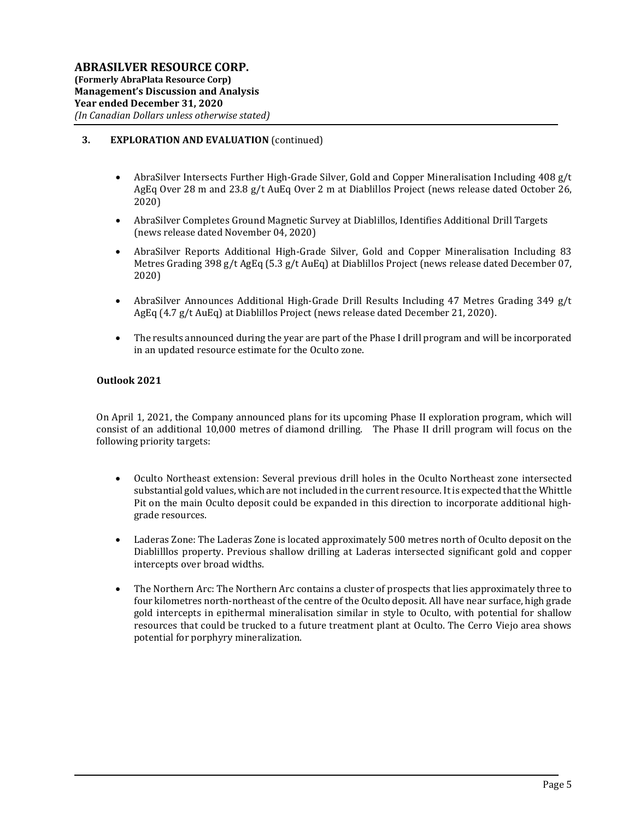## 3. EXPLORATION AND EVALUATION (continued)

- AbraSilver Intersects Further High-Grade Silver, Gold and Copper Mineralisation Including 408 g/t AgEq Over 28 m and 23.8 g/t AuEq Over 2 m at Diablillos Project (news release dated October 26, 2020)
- AbraSilver Completes Ground Magnetic Survey at Diablillos, Identifies Additional Drill Targets (news release dated November 04, 2020)
- AbraSilver Reports Additional High-Grade Silver, Gold and Copper Mineralisation Including 83 Metres Grading 398 g/t AgEq (5.3 g/t AuEq) at Diablillos Project (news release dated December 07, 2020)
- AbraSilver Announces Additional High-Grade Drill Results Including 47 Metres Grading 349 g/t AgEq (4.7 g/t AuEq) at Diablillos Project (news release dated December 21, 2020).
- The results announced during the year are part of the Phase I drill program and will be incorporated in an updated resource estimate for the Oculto zone.

### Outlook 2021

On April 1, 2021, the Company announced plans for its upcoming Phase II exploration program, which will consist of an additional 10,000 metres of diamond drilling. The Phase II drill program will focus on the following priority targets:

- Oculto Northeast extension: Several previous drill holes in the Oculto Northeast zone intersected substantial gold values, which are not included in the current resource. It is expected that the Whittle Pit on the main Oculto deposit could be expanded in this direction to incorporate additional highgrade resources.
- Laderas Zone: The Laderas Zone is located approximately 500 metres north of Oculto deposit on the Diablilllos property. Previous shallow drilling at Laderas intersected significant gold and copper intercepts over broad widths.
- The Northern Arc: The Northern Arc contains a cluster of prospects that lies approximately three to four kilometres north-northeast of the centre of the Oculto deposit. All have near surface, high grade gold intercepts in epithermal mineralisation similar in style to Oculto, with potential for shallow resources that could be trucked to a future treatment plant at Oculto. The Cerro Viejo area shows potential for porphyry mineralization.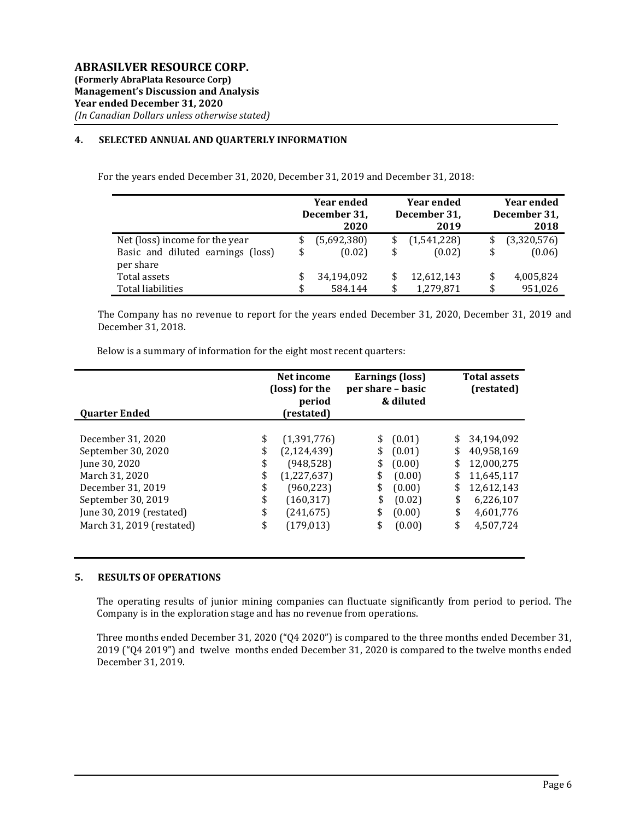### 4. SELECTED ANNUAL AND QUARTERLY INFORMATION

For the years ended December 31, 2020, December 31, 2019 and December 31, 2018:

|                                   | <b>Year ended</b><br>December 31,<br>2020 | <b>Year ended</b><br>December 31,<br>2019 | <b>Year ended</b><br>December 31,<br>2018 |             |
|-----------------------------------|-------------------------------------------|-------------------------------------------|-------------------------------------------|-------------|
| Net (loss) income for the year    | \$<br>(5,692,380)                         | (1,541,228)                               |                                           | (3,320,576) |
| Basic and diluted earnings (loss) | \$<br>(0.02)                              | \$<br>(0.02)                              | \$                                        | (0.06)      |
| per share                         |                                           |                                           |                                           |             |
| Total assets                      | \$<br>34,194,092                          | 12,612,143                                | \$                                        | 4,005,824   |
| Total liabilities                 | 584.144                                   | \$<br>1,279,871                           | \$                                        | 951,026     |

The Company has no revenue to report for the years ended December 31, 2020, December 31, 2019 and December 31, 2018.

| <b>Ouarter Ended</b>      | Net income<br>(loss) for the<br>period<br>(restated) |               | per share - basic | Earnings (loss)<br>& diluted | <b>Total assets</b><br>(restated) |            |  |
|---------------------------|------------------------------------------------------|---------------|-------------------|------------------------------|-----------------------------------|------------|--|
| December 31, 2020         | \$                                                   | (1,391,776)   | \$                | (0.01)                       | \$                                | 34,194,092 |  |
| September 30, 2020        | \$                                                   | (2, 124, 439) | \$                | (0.01)                       | \$                                | 40,958,169 |  |
| June 30, 2020             | \$                                                   | (948, 528)    | \$                | (0.00)                       | \$                                | 12,000,275 |  |
| March 31, 2020            | \$                                                   | (1,227,637)   | \$                | (0.00)                       | \$                                | 11,645,117 |  |
| December 31, 2019         | \$                                                   | (960, 223)    | \$                | (0.00)                       | \$                                | 12,612,143 |  |
| September 30, 2019        | \$                                                   | (160, 317)    | \$                | (0.02)                       | \$                                | 6,226,107  |  |
| June 30, 2019 (restated)  | \$                                                   | (241, 675)    | \$                | (0.00)                       | \$                                | 4,601,776  |  |
| March 31, 2019 (restated) | \$                                                   | (179, 013)    | \$                | (0.00)                       | \$                                | 4,507,724  |  |

### 5. RESULTS OF OPERATIONS

The operating results of junior mining companies can fluctuate significantly from period to period. The Company is in the exploration stage and has no revenue from operations.

Three months ended December 31, 2020 ("Q4 2020") is compared to the three months ended December 31, 2019 ("Q4 2019") and twelve months ended December 31, 2020 is compared to the twelve months ended December 31, 2019.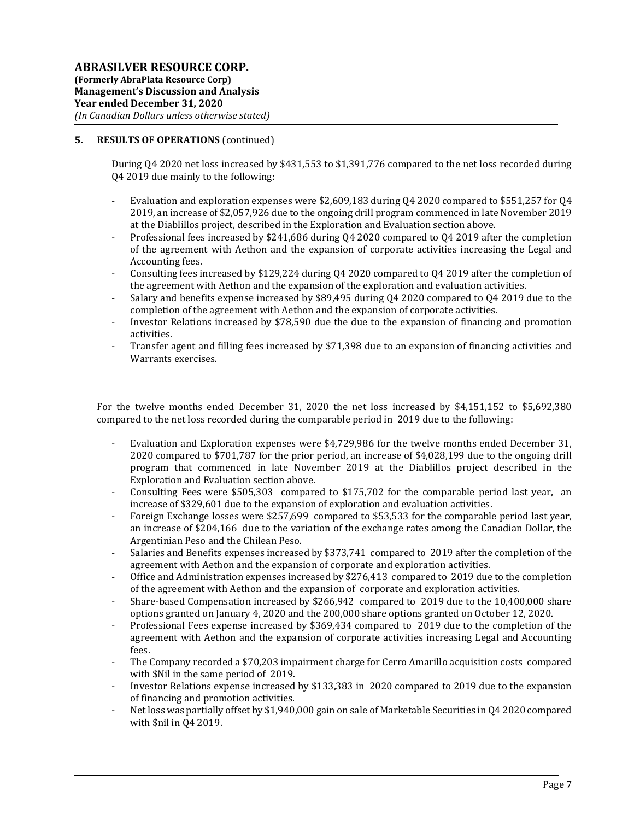## 5. RESULTS OF OPERATIONS (continued)

During Q4 2020 net loss increased by \$431,553 to \$1,391,776 compared to the net loss recorded during Q4 2019 due mainly to the following:

- Evaluation and exploration expenses were \$2,609,183 during Q4 2020 compared to \$551,257 for Q4 2019, an increase of \$2,057,926 due to the ongoing drill program commenced in late November 2019 at the Diablillos project, described in the Exploration and Evaluation section above.
- Professional fees increased by \$241,686 during Q4 2020 compared to Q4 2019 after the completion of the agreement with Aethon and the expansion of corporate activities increasing the Legal and Accounting fees.
- Consulting fees increased by \$129,224 during Q4 2020 compared to Q4 2019 after the completion of the agreement with Aethon and the expansion of the exploration and evaluation activities.
- Salary and benefits expense increased by \$89,495 during Q4 2020 compared to Q4 2019 due to the completion of the agreement with Aethon and the expansion of corporate activities.
- Investor Relations increased by \$78,590 due the due to the expansion of financing and promotion activities.
- Transfer agent and filling fees increased by \$71,398 due to an expansion of financing activities and Warrants exercises.

For the twelve months ended December 31, 2020 the net loss increased by \$4,151,152 to \$5,692,380 compared to the net loss recorded during the comparable period in 2019 due to the following:

- Evaluation and Exploration expenses were \$4,729,986 for the twelve months ended December 31, 2020 compared to \$701,787 for the prior period, an increase of \$4,028,199 due to the ongoing drill program that commenced in late November 2019 at the Diablillos project described in the Exploration and Evaluation section above.
- Consulting Fees were \$505,303 compared to \$175,702 for the comparable period last year, an increase of \$329,601 due to the expansion of exploration and evaluation activities.
- Foreign Exchange losses were \$257,699 compared to \$53,533 for the comparable period last year, an increase of \$204,166 due to the variation of the exchange rates among the Canadian Dollar, the Argentinian Peso and the Chilean Peso.
- Salaries and Benefits expenses increased by \$373,741 compared to 2019 after the completion of the agreement with Aethon and the expansion of corporate and exploration activities.
- Office and Administration expenses increased by \$276,413 compared to 2019 due to the completion of the agreement with Aethon and the expansion of corporate and exploration activities.
- Share-based Compensation increased by \$266,942 compared to 2019 due to the 10,400,000 share options granted on January 4, 2020 and the 200,000 share options granted on October 12, 2020.
- Professional Fees expense increased by \$369,434 compared to 2019 due to the completion of the agreement with Aethon and the expansion of corporate activities increasing Legal and Accounting fees.
- The Company recorded a \$70,203 impairment charge for Cerro Amarillo acquisition costs compared with \$Nil in the same period of 2019.
- Investor Relations expense increased by \$133,383 in 2020 compared to 2019 due to the expansion of financing and promotion activities.
- Net loss was partially offset by \$1,940,000 gain on sale of Marketable Securities in Q4 2020 compared with \$nil in Q4 2019.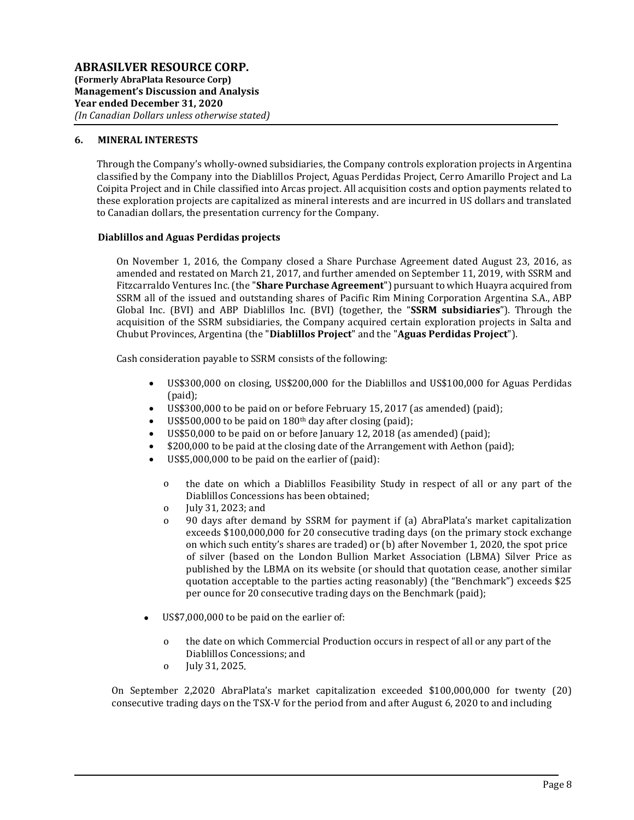#### 6. MINERAL INTERESTS

Through the Company's wholly-owned subsidiaries, the Company controls exploration projects in Argentina classified by the Company into the Diablillos Project, Aguas Perdidas Project, Cerro Amarillo Project and La Coipita Project and in Chile classified into Arcas project. All acquisition costs and option payments related to these exploration projects are capitalized as mineral interests and are incurred in US dollars and translated to Canadian dollars, the presentation currency for the Company.

#### Diablillos and Aguas Perdidas projects

On November 1, 2016, the Company closed a Share Purchase Agreement dated August 23, 2016, as amended and restated on March 21, 2017, and further amended on September 11, 2019, with SSRM and Fitzcarraldo Ventures Inc. (the "Share Purchase Agreement") pursuant to which Huayra acquired from SSRM all of the issued and outstanding shares of Pacific Rim Mining Corporation Argentina S.A., ABP Global Inc. (BVI) and ABP Diablillos Inc. (BVI) (together, the "SSRM subsidiaries"). Through the acquisition of the SSRM subsidiaries, the Company acquired certain exploration projects in Salta and Chubut Provinces, Argentina (the "Diablillos Project" and the "Aguas Perdidas Project").

Cash consideration payable to SSRM consists of the following:

- US\$300,000 on closing, US\$200,000 for the Diablillos and US\$100,000 for Aguas Perdidas (paid);
- US\$300,000 to be paid on or before February 15, 2017 (as amended) (paid);
- US\$500,000 to be paid on 180th day after closing (paid);
- US\$50,000 to be paid on or before January 12, 2018 (as amended) (paid);
- \$200,000 to be paid at the closing date of the Arrangement with Aethon (paid);
- US\$5,000,000 to be paid on the earlier of (paid):
	- o the date on which a Diablillos Feasibility Study in respect of all or any part of the Diablillos Concessions has been obtained;
	- o July 31, 2023; and
	- o 90 days after demand by SSRM for payment if (a) AbraPlata's market capitalization exceeds \$100,000,000 for 20 consecutive trading days (on the primary stock exchange on which such entity's shares are traded) or (b) after November 1, 2020, the spot price of silver (based on the London Bullion Market Association (LBMA) Silver Price as published by the LBMA on its website (or should that quotation cease, another similar quotation acceptable to the parties acting reasonably) (the "Benchmark") exceeds \$25 per ounce for 20 consecutive trading days on the Benchmark (paid);
- US\$7,000,000 to be paid on the earlier of:
	- o the date on which Commercial Production occurs in respect of all or any part of the Diablillos Concessions; and
	- o July 31, 2025.

On September 2,2020 AbraPlata's market capitalization exceeded \$100,000,000 for twenty (20) consecutive trading days on the TSX-V for the period from and after August 6, 2020 to and including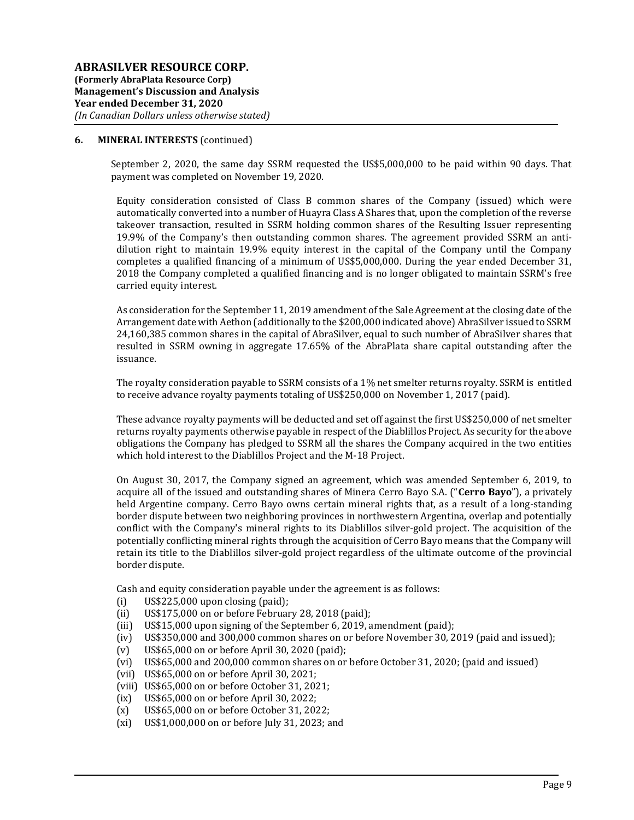September 2, 2020, the same day SSRM requested the US\$5,000,000 to be paid within 90 days. That payment was completed on November 19, 2020.

Equity consideration consisted of Class B common shares of the Company (issued) which were automatically converted into a number of Huayra Class A Shares that, upon the completion of the reverse takeover transaction, resulted in SSRM holding common shares of the Resulting Issuer representing 19.9% of the Company's then outstanding common shares. The agreement provided SSRM an antidilution right to maintain 19.9% equity interest in the capital of the Company until the Company completes a qualified financing of a minimum of US\$5,000,000. During the year ended December 31, 2018 the Company completed a qualified financing and is no longer obligated to maintain SSRM's free carried equity interest.

As consideration for the September 11, 2019 amendment of the Sale Agreement at the closing date of the Arrangement date with Aethon (additionally to the \$200,000 indicated above) AbraSilver issued to SSRM 24,160,385 common shares in the capital of AbraSilver, equal to such number of AbraSilver shares that resulted in SSRM owning in aggregate 17.65% of the AbraPlata share capital outstanding after the issuance.

The royalty consideration payable to SSRM consists of a 1% net smelter returns royalty. SSRM is entitled to receive advance royalty payments totaling of US\$250,000 on November 1, 2017 (paid).

These advance royalty payments will be deducted and set off against the first US\$250,000 of net smelter returns royalty payments otherwise payable in respect of the Diablillos Project. As security for the above obligations the Company has pledged to SSRM all the shares the Company acquired in the two entities which hold interest to the Diablillos Project and the M-18 Project.

On August 30, 2017, the Company signed an agreement, which was amended September 6, 2019, to acquire all of the issued and outstanding shares of Minera Cerro Bayo S.A. ("Cerro Bayo"), a privately held Argentine company. Cerro Bayo owns certain mineral rights that, as a result of a long-standing border dispute between two neighboring provinces in northwestern Argentina, overlap and potentially conflict with the Company's mineral rights to its Diablillos silver-gold project. The acquisition of the potentially conflicting mineral rights through the acquisition of Cerro Bayo means that the Company will retain its title to the Diablillos silver-gold project regardless of the ultimate outcome of the provincial border dispute.

Cash and equity consideration payable under the agreement is as follows:

- (i) US\$225,000 upon closing (paid);
- (ii) US\$175,000 on or before February 28, 2018 (paid);
- (iii) US\$15,000 upon signing of the September 6, 2019, amendment (paid);
- (iv) US\$350,000 and 300,000 common shares on or before November 30, 2019 (paid and issued);
- (v) US\$65,000 on or before April 30, 2020 (paid);
- (vi) US\$65,000 and 200,000 common shares on or before October 31, 2020; (paid and issued)
- (vii) US\$65,000 on or before April 30, 2021;
- (viii) US\$65,000 on or before October 31, 2021;
- (ix) US\$65,000 on or before April 30, 2022;
- (x) US\$65,000 on or before October 31, 2022;
- (xi) US\$1,000,000 on or before July 31, 2023; and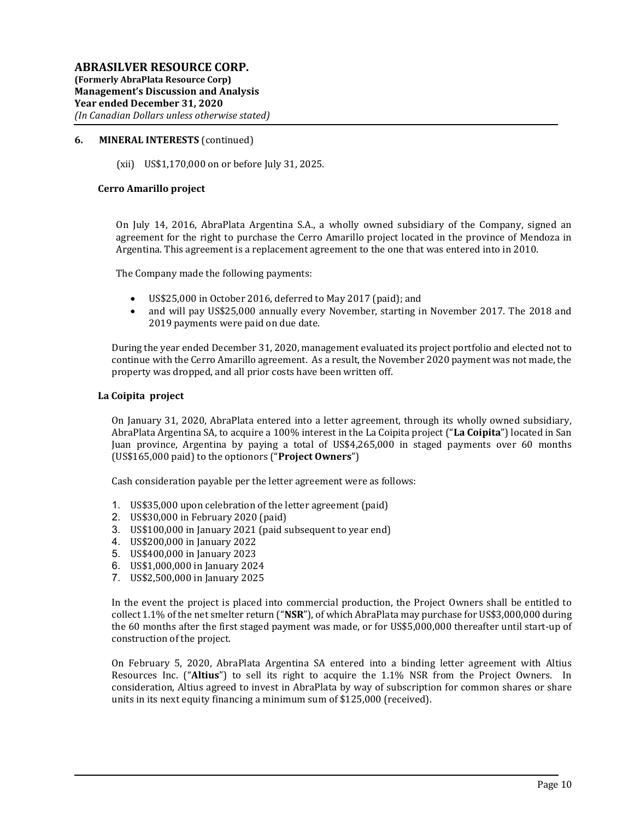(xii) US\$1,170,000 on or before July 31, 2025.

#### Cerro Amarillo project

On July 14, 2016, AbraPlata Argentina S.A., a wholly owned subsidiary of the Company, signed an agreement for the right to purchase the Cerro Amarillo project located in the province of Mendoza in Argentina. This agreement is a replacement agreement to the one that was entered into in 2010.

The Company made the following payments:

- US\$25,000 in October 2016, deferred to May 2017 (paid); and
- and will pay US\$25,000 annually every November, starting in November 2017. The 2018 and 2019 payments were paid on due date.

During the year ended December 31, 2020, management evaluated its project portfolio and elected not to continue with the Cerro Amarillo agreement. As a result, the November 2020 payment was not made, the property was dropped, and all prior costs have been written off.

#### La Coipita project

On January 31, 2020, AbraPlata entered into a letter agreement, through its wholly owned subsidiary, AbraPlata Argentina SA, to acquire a 100% interest in the La Coipita project ("La Coipita") located in San Juan province, Argentina by paying a total of US\$4,265,000 in staged payments over 60 months (US\$165,000 paid) to the optionors ("Project Owners")

Cash consideration payable per the letter agreement were as follows:

- 1. US\$35,000 upon celebration of the letter agreement (paid)
- 2. US\$30,000 in February 2020 (paid)
- 3. US\$100,000 in January 2021 (paid subsequent to year end)
- 4. US\$200,000 in January 2022
- 5. US\$400,000 in January 2023
- 6. US\$1,000,000 in January 2024
- 7. US\$2,500,000 in January 2025

In the event the project is placed into commercial production, the Project Owners shall be entitled to collect 1.1% of the net smelter return (" $NSR$ "), of which AbraPlata may purchase for US\$3,000,000 during the 60 months after the first staged payment was made, or for US\$5,000,000 thereafter until start-up of construction of the project.

On February 5, 2020, AbraPlata Argentina SA entered into a binding letter agreement with Altius Resources Inc. ("Altius") to sell its right to acquire the 1.1% NSR from the Project Owners. In consideration, Altius agreed to invest in AbraPlata by way of subscription for common shares or share units in its next equity financing a minimum sum of \$125,000 (received).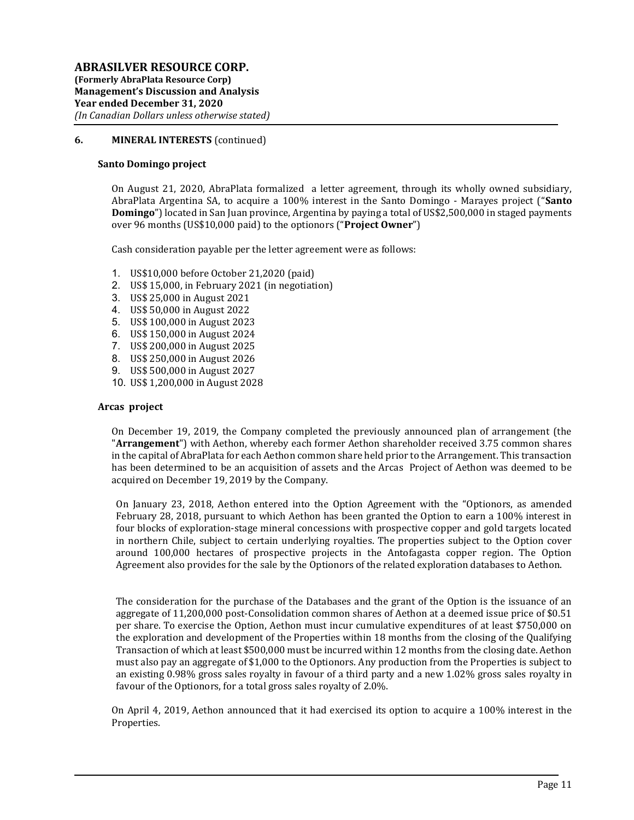#### Santo Domingo project

On August 21, 2020, AbraPlata formalized a letter agreement, through its wholly owned subsidiary, AbraPlata Argentina SA, to acquire a 100% interest in the Santo Domingo - Marayes project ("Santo **Domingo**") located in San Juan province, Argentina by paying a total of US\$2,500,000 in staged payments over 96 months (US\$10,000 paid) to the optionors ("Project Owner")

Cash consideration payable per the letter agreement were as follows:

- 1. US\$10,000 before October 21,2020 (paid)
- 2. US\$ 15,000, in February 2021 (in negotiation)
- 3. US\$ 25,000 in August 2021
- 4. US\$ 50,000 in August 2022
- 5. US\$ 100,000 in August 2023
- 6. US\$ 150,000 in August 2024
- 7. US\$ 200,000 in August 2025
- 8. US\$ 250,000 in August 2026
- 9. US\$ 500,000 in August 2027
- 10. US\$ 1,200,000 in August 2028

#### Arcas project

On December 19, 2019, the Company completed the previously announced plan of arrangement (the "Arrangement") with Aethon, whereby each former Aethon shareholder received 3.75 common shares in the capital of AbraPlata for each Aethon common share held prior to the Arrangement. This transaction has been determined to be an acquisition of assets and the Arcas Project of Aethon was deemed to be acquired on December 19, 2019 by the Company.

On January 23, 2018, Aethon entered into the Option Agreement with the "Optionors, as amended February 28, 2018, pursuant to which Aethon has been granted the Option to earn a 100% interest in four blocks of exploration-stage mineral concessions with prospective copper and gold targets located in northern Chile, subject to certain underlying royalties. The properties subject to the Option cover around 100,000 hectares of prospective projects in the Antofagasta copper region. The Option Agreement also provides for the sale by the Optionors of the related exploration databases to Aethon.

The consideration for the purchase of the Databases and the grant of the Option is the issuance of an aggregate of 11,200,000 post-Consolidation common shares of Aethon at a deemed issue price of \$0.51 per share. To exercise the Option, Aethon must incur cumulative expenditures of at least \$750,000 on the exploration and development of the Properties within 18 months from the closing of the Qualifying Transaction of which at least \$500,000 must be incurred within 12 months from the closing date. Aethon must also pay an aggregate of \$1,000 to the Optionors. Any production from the Properties is subject to an existing 0.98% gross sales royalty in favour of a third party and a new 1.02% gross sales royalty in favour of the Optionors, for a total gross sales royalty of 2.0%.

On April 4, 2019, Aethon announced that it had exercised its option to acquire a 100% interest in the Properties.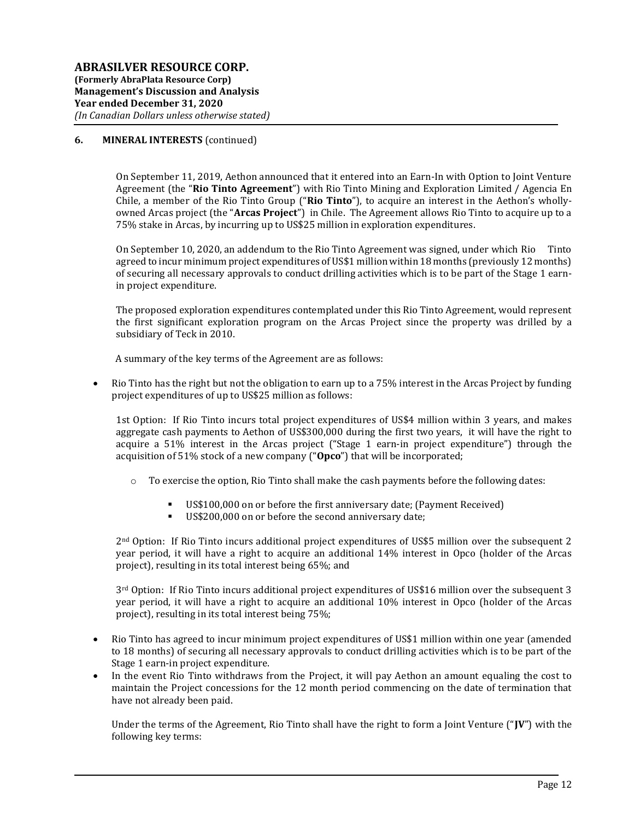On September 11, 2019, Aethon announced that it entered into an Earn-In with Option to Joint Venture Agreement (the "Rio Tinto Agreement") with Rio Tinto Mining and Exploration Limited / Agencia En Chile, a member of the Rio Tinto Group ("Rio Tinto"), to acquire an interest in the Aethon's whollyowned Arcas project (the "Arcas Project") in Chile. The Agreement allows Rio Tinto to acquire up to a 75% stake in Arcas, by incurring up to US\$25 million in exploration expenditures.

On September 10, 2020, an addendum to the Rio Tinto Agreement was signed, under which Rio Tinto agreed to incur minimum project expenditures of US\$1 million within 18 months (previously 12 months) of securing all necessary approvals to conduct drilling activities which is to be part of the Stage 1 earnin project expenditure.

The proposed exploration expenditures contemplated under this Rio Tinto Agreement, would represent the first significant exploration program on the Arcas Project since the property was drilled by a subsidiary of Teck in 2010.

A summary of the key terms of the Agreement are as follows:

 Rio Tinto has the right but not the obligation to earn up to a 75% interest in the Arcas Project by funding project expenditures of up to US\$25 million as follows:

1st Option: If Rio Tinto incurs total project expenditures of US\$4 million within 3 years, and makes aggregate cash payments to Aethon of US\$300,000 during the first two years, it will have the right to acquire a 51% interest in the Arcas project ("Stage 1 earn-in project expenditure") through the acquisition of 51% stock of a new company ("Opco") that will be incorporated;

- $\circ$  To exercise the option, Rio Tinto shall make the cash payments before the following dates:
	- US\$100,000 on or before the first anniversary date; (Payment Received)
	- US\$200,000 on or before the second anniversary date;

2nd Option: If Rio Tinto incurs additional project expenditures of US\$5 million over the subsequent 2 year period, it will have a right to acquire an additional 14% interest in Opco (holder of the Arcas project), resulting in its total interest being 65%; and

3rd Option: If Rio Tinto incurs additional project expenditures of US\$16 million over the subsequent 3 year period, it will have a right to acquire an additional 10% interest in Opco (holder of the Arcas project), resulting in its total interest being 75%;

- Rio Tinto has agreed to incur minimum project expenditures of US\$1 million within one year (amended to 18 months) of securing all necessary approvals to conduct drilling activities which is to be part of the Stage 1 earn-in project expenditure.
- In the event Rio Tinto withdraws from the Project, it will pay Aethon an amount equaling the cost to maintain the Project concessions for the 12 month period commencing on the date of termination that have not already been paid.

Under the terms of the Agreement, Rio Tinto shall have the right to form a Joint Venture ("JV") with the following key terms: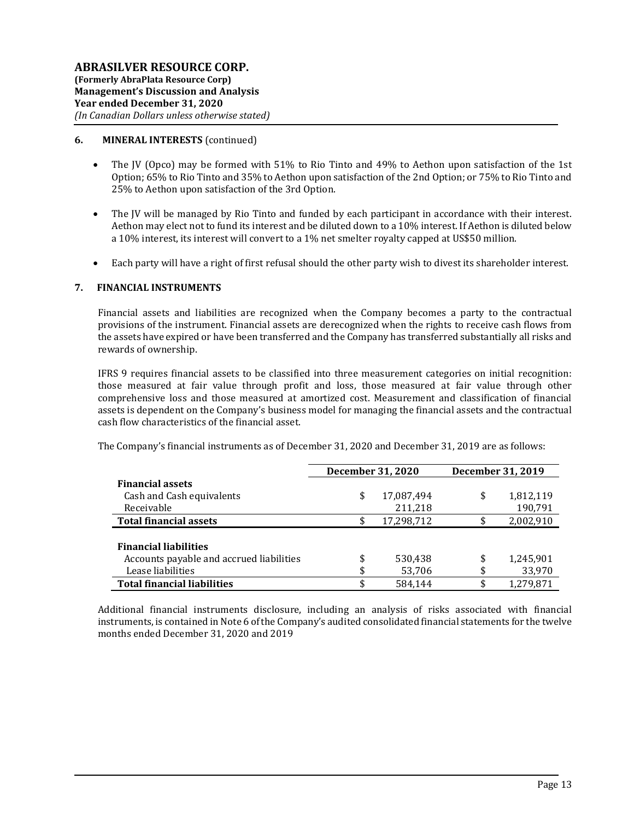- The JV (Opco) may be formed with 51% to Rio Tinto and 49% to Aethon upon satisfaction of the 1st Option; 65% to Rio Tinto and 35% to Aethon upon satisfaction of the 2nd Option; or 75% to Rio Tinto and 25% to Aethon upon satisfaction of the 3rd Option.
- The JV will be managed by Rio Tinto and funded by each participant in accordance with their interest. Aethon may elect not to fund its interest and be diluted down to a 10% interest. If Aethon is diluted below a 10% interest, its interest will convert to a 1% net smelter royalty capped at US\$50 million.
- Each party will have a right of first refusal should the other party wish to divest its shareholder interest.

#### 7. FINANCIAL INSTRUMENTS

Financial assets and liabilities are recognized when the Company becomes a party to the contractual provisions of the instrument. Financial assets are derecognized when the rights to receive cash flows from the assets have expired or have been transferred and the Company has transferred substantially all risks and rewards of ownership.

IFRS 9 requires financial assets to be classified into three measurement categories on initial recognition: those measured at fair value through profit and loss, those measured at fair value through other comprehensive loss and those measured at amortized cost. Measurement and classification of financial assets is dependent on the Company's business model for managing the financial assets and the contractual cash flow characteristics of the financial asset.

The Company's financial instruments as of December 31, 2020 and December 31, 2019 are as follows:

|                                          | December 31, 2020 | December 31, 2019 |           |  |
|------------------------------------------|-------------------|-------------------|-----------|--|
| <b>Financial assets</b>                  |                   |                   |           |  |
| Cash and Cash equivalents                | \$<br>17,087,494  | \$                | 1,812,119 |  |
| Receivable                               | 211,218           |                   | 190,791   |  |
| <b>Total financial assets</b>            | \$<br>17,298,712  | \$                | 2,002,910 |  |
|                                          |                   |                   |           |  |
| <b>Financial liabilities</b>             |                   |                   |           |  |
| Accounts payable and accrued liabilities | \$<br>530,438     | \$                | 1,245,901 |  |
| Lease liabilities                        | \$<br>53,706      | \$                | 33,970    |  |
| <b>Total financial liabilities</b>       | \$<br>584.144     | \$                | 1,279,871 |  |

Additional financial instruments disclosure, including an analysis of risks associated with financial instruments, is contained in Note 6 of the Company's audited consolidated financial statements for the twelve months ended December 31, 2020 and 2019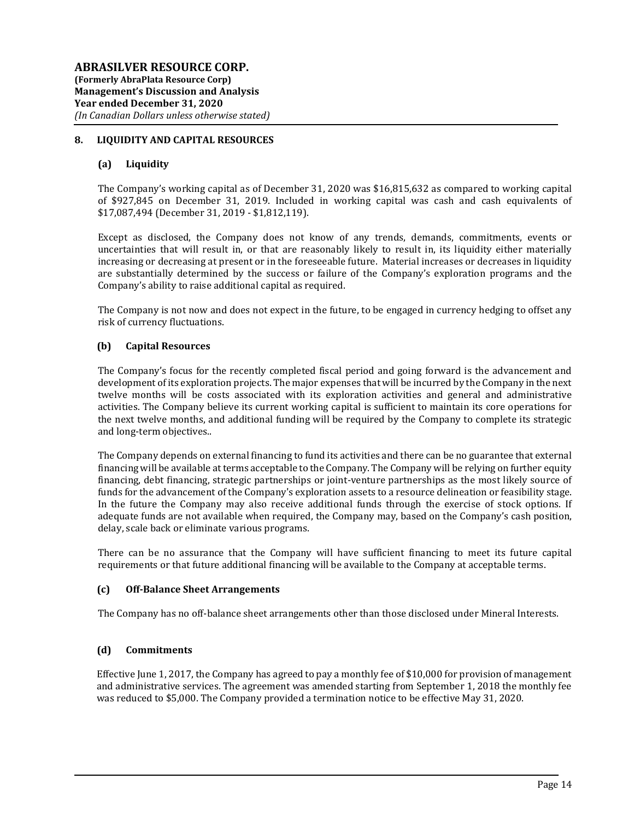## 8. LIQUIDITY AND CAPITAL RESOURCES

#### (a) Liquidity

The Company's working capital as of December 31, 2020 was \$16,815,632 as compared to working capital of \$927,845 on December 31, 2019. Included in working capital was cash and cash equivalents of \$17,087,494 (December 31, 2019 - \$1,812,119).

Except as disclosed, the Company does not know of any trends, demands, commitments, events or uncertainties that will result in, or that are reasonably likely to result in, its liquidity either materially increasing or decreasing at present or in the foreseeable future. Material increases or decreases in liquidity are substantially determined by the success or failure of the Company's exploration programs and the Company's ability to raise additional capital as required.

The Company is not now and does not expect in the future, to be engaged in currency hedging to offset any risk of currency fluctuations.

#### (b) Capital Resources

The Company's focus for the recently completed fiscal period and going forward is the advancement and development of its exploration projects. The major expenses that will be incurred by the Company in the next twelve months will be costs associated with its exploration activities and general and administrative activities. The Company believe its current working capital is sufficient to maintain its core operations for the next twelve months, and additional funding will be required by the Company to complete its strategic and long-term objectives..

The Company depends on external financing to fund its activities and there can be no guarantee that external financing will be available at terms acceptable to the Company. The Company will be relying on further equity financing, debt financing, strategic partnerships or joint-venture partnerships as the most likely source of funds for the advancement of the Company's exploration assets to a resource delineation or feasibility stage. In the future the Company may also receive additional funds through the exercise of stock options. If adequate funds are not available when required, the Company may, based on the Company's cash position, delay, scale back or eliminate various programs.

There can be no assurance that the Company will have sufficient financing to meet its future capital requirements or that future additional financing will be available to the Company at acceptable terms.

### (c) Off-Balance Sheet Arrangements

The Company has no off-balance sheet arrangements other than those disclosed under Mineral Interests.

### (d) Commitments

Effective June 1, 2017, the Company has agreed to pay a monthly fee of \$10,000 for provision of management and administrative services. The agreement was amended starting from September 1, 2018 the monthly fee was reduced to \$5,000. The Company provided a termination notice to be effective May 31, 2020.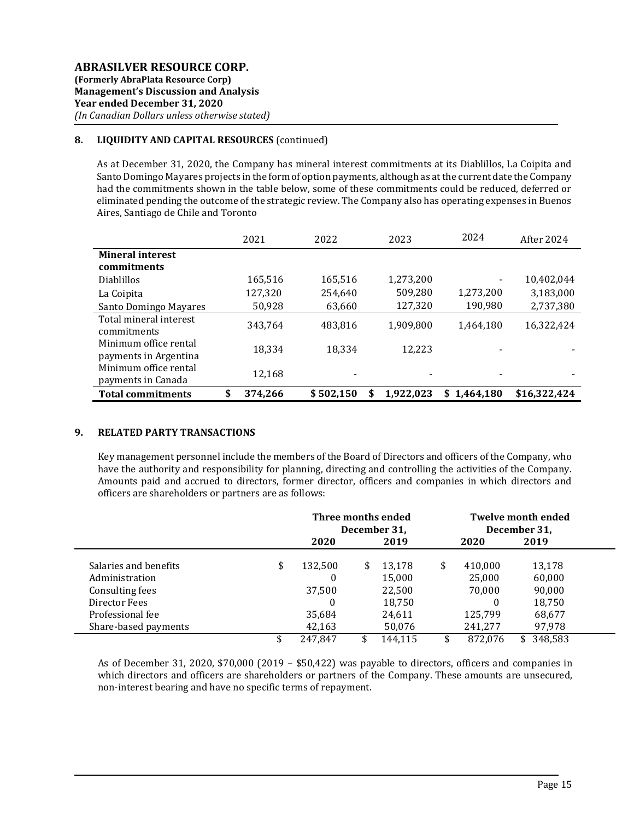## 8. LIQUIDITY AND CAPITAL RESOURCES (continued)

As at December 31, 2020, the Company has mineral interest commitments at its Diablillos, La Coipita and Santo Domingo Mayares projects in the form of option payments, although as at the current date the Company had the commitments shown in the table below, some of these commitments could be reduced, deferred or eliminated pending the outcome of the strategic review. The Company also has operating expenses in Buenos Aires, Santiago de Chile and Toronto

|                          | 2021          | 2022                     | 2023      | 2024           | After 2024   |
|--------------------------|---------------|--------------------------|-----------|----------------|--------------|
| <b>Mineral interest</b>  |               |                          |           |                |              |
| commitments              |               |                          |           |                |              |
| <b>Diablillos</b>        | 165,516       | 165,516                  | 1,273,200 |                | 10,402,044   |
| La Coipita               | 127,320       | 254,640                  | 509,280   | 1,273,200      | 3,183,000    |
| Santo Domingo Mayares    | 50,928        | 63,660                   | 127,320   | 190,980        | 2,737,380    |
| Total mineral interest   | 343.764       | 483,816                  | 1,909,800 | 1,464,180      | 16,322,424   |
| commitments              |               |                          |           |                |              |
| Minimum office rental    | 18.334        | 18,334                   | 12.223    |                |              |
| payments in Argentina    |               |                          |           |                |              |
| Minimum office rental    | 12,168        | $\overline{\phantom{a}}$ |           |                |              |
| payments in Canada       |               |                          |           |                |              |
| <b>Total commitments</b> | \$<br>374.266 | \$502,150                | 1,922,023 | 1.464.180<br>S | \$16,322,424 |

### 9. RELATED PARTY TRANSACTIONS

Key management personnel include the members of the Board of Directors and officers of the Company, who have the authority and responsibility for planning, directing and controlling the activities of the Company. Amounts paid and accrued to directors, former director, officers and companies in which directors and officers are shareholders or partners are as follows:

|                       | Three months ended<br>December 31, |    |         |    | <b>Twelve month ended</b><br>December 31, |         |
|-----------------------|------------------------------------|----|---------|----|-------------------------------------------|---------|
|                       | 2020                               |    | 2019    |    | 2020                                      | 2019    |
| Salaries and benefits | \$<br>132,500                      | \$ | 13.178  | \$ | 410.000                                   | 13,178  |
| Administration        |                                    |    | 15,000  |    | 25,000                                    | 60,000  |
| Consulting fees       | 37,500                             |    | 22,500  |    | 70,000                                    | 90,000  |
| Director Fees         | 0                                  |    | 18,750  |    | 0                                         | 18.750  |
| Professional fee      | 35,684                             |    | 24,611  |    | 125,799                                   | 68,677  |
| Share-based payments  | 42,163                             |    | 50,076  |    | 241,277                                   | 97,978  |
|                       | 247.847                            |    | 144.115 |    | 872,076                                   | 348.583 |

As of December 31, 2020, \$70,000 (2019 – \$50,422) was payable to directors, officers and companies in which directors and officers are shareholders or partners of the Company. These amounts are unsecured, non-interest bearing and have no specific terms of repayment.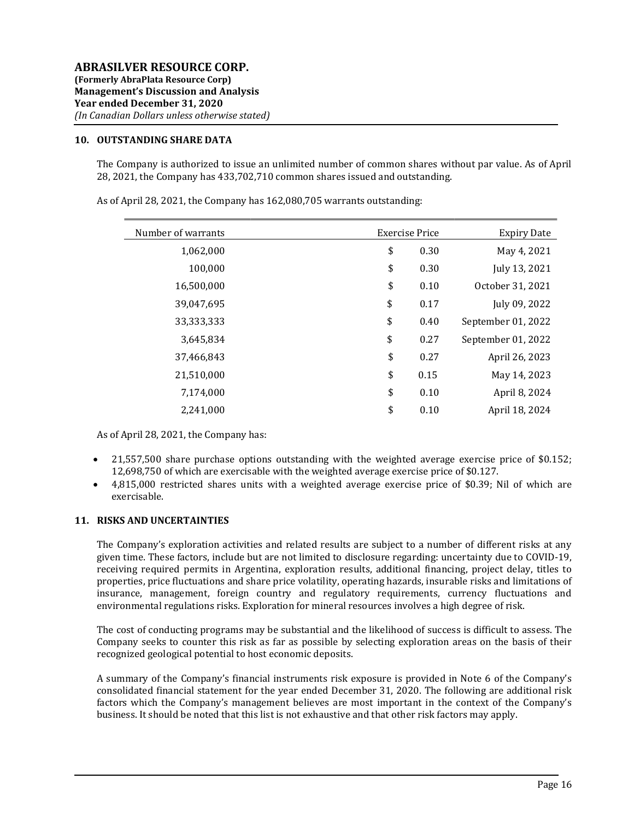#### 10. OUTSTANDING SHARE DATA

The Company is authorized to issue an unlimited number of common shares without par value. As of April 28, 2021, the Company has 433,702,710 common shares issued and outstanding.

| Number of warrants | <b>Exercise Price</b> | <b>Expiry Date</b> |
|--------------------|-----------------------|--------------------|
| 1,062,000          | \$<br>0.30            | May 4, 2021        |
| 100,000            | \$<br>0.30            | July 13, 2021      |
| 16,500,000         | \$<br>0.10            | October 31, 2021   |
| 39,047,695         | \$<br>0.17            | July 09, 2022      |
| 33,333,333         | \$<br>0.40            | September 01, 2022 |
| 3,645,834          | \$<br>0.27            | September 01, 2022 |
| 37,466,843         | \$<br>0.27            | April 26, 2023     |
| 21,510,000         | \$<br>0.15            | May 14, 2023       |
| 7,174,000          | \$<br>0.10            | April 8, 2024      |
| 2,241,000          | \$<br>0.10            | April 18, 2024     |

As of April 28, 2021, the Company has 162,080,705 warrants outstanding:

As of April 28, 2021, the Company has:

- 21,557,500 share purchase options outstanding with the weighted average exercise price of \$0.152; 12,698,750 of which are exercisable with the weighted average exercise price of \$0.127.
- 4,815,000 restricted shares units with a weighted average exercise price of \$0.39; Nil of which are exercisable.

#### 11. RISKS AND UNCERTAINTIES

The Company's exploration activities and related results are subject to a number of different risks at any given time. These factors, include but are not limited to disclosure regarding: uncertainty due to COVID-19, receiving required permits in Argentina, exploration results, additional financing, project delay, titles to properties, price fluctuations and share price volatility, operating hazards, insurable risks and limitations of insurance, management, foreign country and regulatory requirements, currency fluctuations and environmental regulations risks. Exploration for mineral resources involves a high degree of risk.

The cost of conducting programs may be substantial and the likelihood of success is difficult to assess. The Company seeks to counter this risk as far as possible by selecting exploration areas on the basis of their recognized geological potential to host economic deposits.

A summary of the Company's financial instruments risk exposure is provided in Note 6 of the Company's consolidated financial statement for the year ended December 31, 2020. The following are additional risk factors which the Company's management believes are most important in the context of the Company's business. It should be noted that this list is not exhaustive and that other risk factors may apply.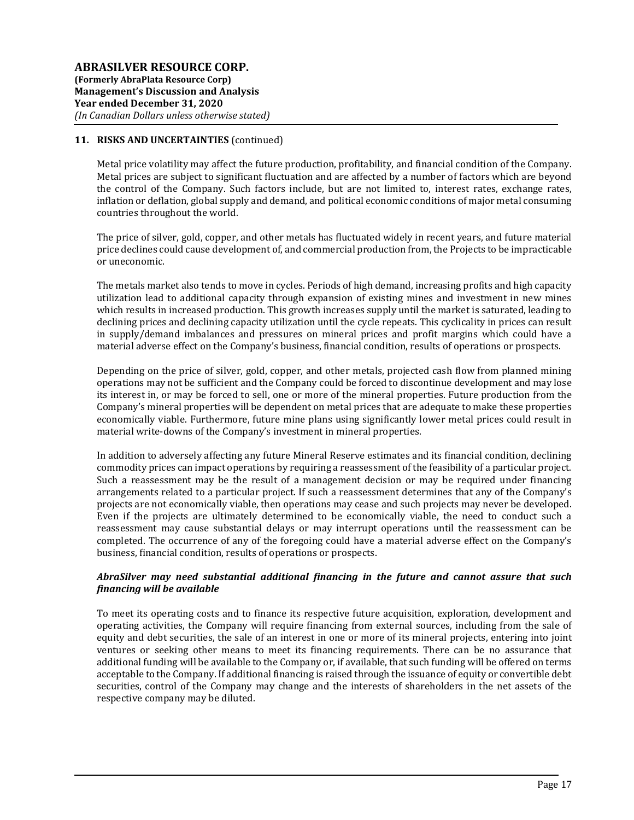Metal price volatility may affect the future production, profitability, and financial condition of the Company. Metal prices are subject to significant fluctuation and are affected by a number of factors which are beyond the control of the Company. Such factors include, but are not limited to, interest rates, exchange rates, inflation or deflation, global supply and demand, and political economic conditions of major metal consuming countries throughout the world.

The price of silver, gold, copper, and other metals has fluctuated widely in recent years, and future material price declines could cause development of, and commercial production from, the Projects to be impracticable or uneconomic.

The metals market also tends to move in cycles. Periods of high demand, increasing profits and high capacity utilization lead to additional capacity through expansion of existing mines and investment in new mines which results in increased production. This growth increases supply until the market is saturated, leading to declining prices and declining capacity utilization until the cycle repeats. This cyclicality in prices can result in supply/demand imbalances and pressures on mineral prices and profit margins which could have a material adverse effect on the Company's business, financial condition, results of operations or prospects.

Depending on the price of silver, gold, copper, and other metals, projected cash flow from planned mining operations may not be sufficient and the Company could be forced to discontinue development and may lose its interest in, or may be forced to sell, one or more of the mineral properties. Future production from the Company's mineral properties will be dependent on metal prices that are adequate to make these properties economically viable. Furthermore, future mine plans using significantly lower metal prices could result in material write-downs of the Company's investment in mineral properties.

In addition to adversely affecting any future Mineral Reserve estimates and its financial condition, declining commodity prices can impact operations by requiring a reassessment of the feasibility of a particular project. Such a reassessment may be the result of a management decision or may be required under financing arrangements related to a particular project. If such a reassessment determines that any of the Company's projects are not economically viable, then operations may cease and such projects may never be developed. Even if the projects are ultimately determined to be economically viable, the need to conduct such a reassessment may cause substantial delays or may interrupt operations until the reassessment can be completed. The occurrence of any of the foregoing could have a material adverse effect on the Company's business, financial condition, results of operations or prospects.

### AbraSilver may need substantial additional financing in the future and cannot assure that such financing will be available

To meet its operating costs and to finance its respective future acquisition, exploration, development and operating activities, the Company will require financing from external sources, including from the sale of equity and debt securities, the sale of an interest in one or more of its mineral projects, entering into joint ventures or seeking other means to meet its financing requirements. There can be no assurance that additional funding will be available to the Company or, if available, that such funding will be offered on terms acceptable to the Company. If additional financing is raised through the issuance of equity or convertible debt securities, control of the Company may change and the interests of shareholders in the net assets of the respective company may be diluted.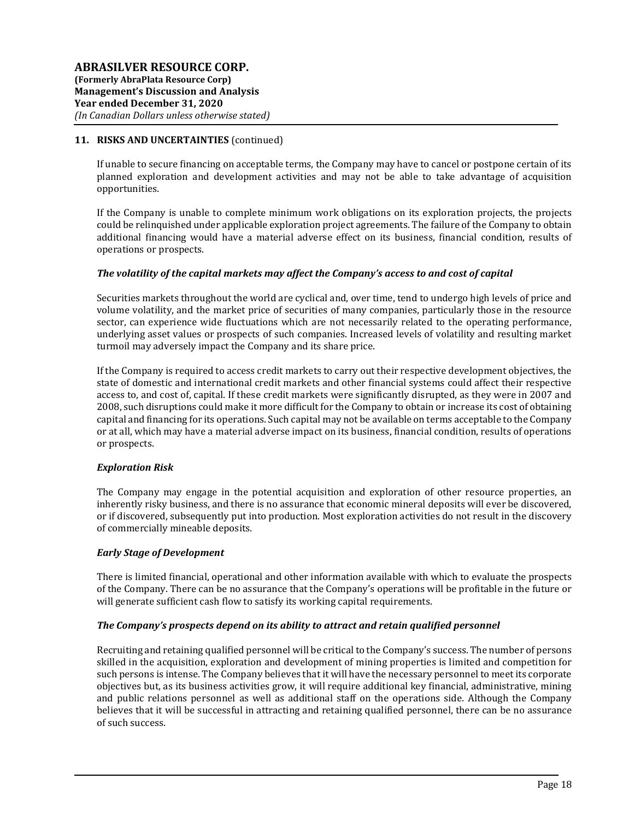If unable to secure financing on acceptable terms, the Company may have to cancel or postpone certain of its planned exploration and development activities and may not be able to take advantage of acquisition opportunities.

If the Company is unable to complete minimum work obligations on its exploration projects, the projects could be relinquished under applicable exploration project agreements. The failure of the Company to obtain additional financing would have a material adverse effect on its business, financial condition, results of operations or prospects.

### The volatility of the capital markets may affect the Company's access to and cost of capital

Securities markets throughout the world are cyclical and, over time, tend to undergo high levels of price and volume volatility, and the market price of securities of many companies, particularly those in the resource sector, can experience wide fluctuations which are not necessarily related to the operating performance, underlying asset values or prospects of such companies. Increased levels of volatility and resulting market turmoil may adversely impact the Company and its share price.

If the Company is required to access credit markets to carry out their respective development objectives, the state of domestic and international credit markets and other financial systems could affect their respective access to, and cost of, capital. If these credit markets were significantly disrupted, as they were in 2007 and 2008, such disruptions could make it more difficult for the Company to obtain or increase its cost of obtaining capital and financing for its operations. Such capital may not be available on terms acceptable to the Company or at all, which may have a material adverse impact on its business, financial condition, results of operations or prospects.

### Exploration Risk

The Company may engage in the potential acquisition and exploration of other resource properties, an inherently risky business, and there is no assurance that economic mineral deposits will ever be discovered, or if discovered, subsequently put into production. Most exploration activities do not result in the discovery of commercially mineable deposits.

### Early Stage of Development

There is limited financial, operational and other information available with which to evaluate the prospects of the Company. There can be no assurance that the Company's operations will be profitable in the future or will generate sufficient cash flow to satisfy its working capital requirements.

### The Company's prospects depend on its ability to attract and retain qualified personnel

Recruiting and retaining qualified personnel will be critical to the Company's success. The number of persons skilled in the acquisition, exploration and development of mining properties is limited and competition for such persons is intense. The Company believes that it will have the necessary personnel to meet its corporate objectives but, as its business activities grow, it will require additional key financial, administrative, mining and public relations personnel as well as additional staff on the operations side. Although the Company believes that it will be successful in attracting and retaining qualified personnel, there can be no assurance of such success.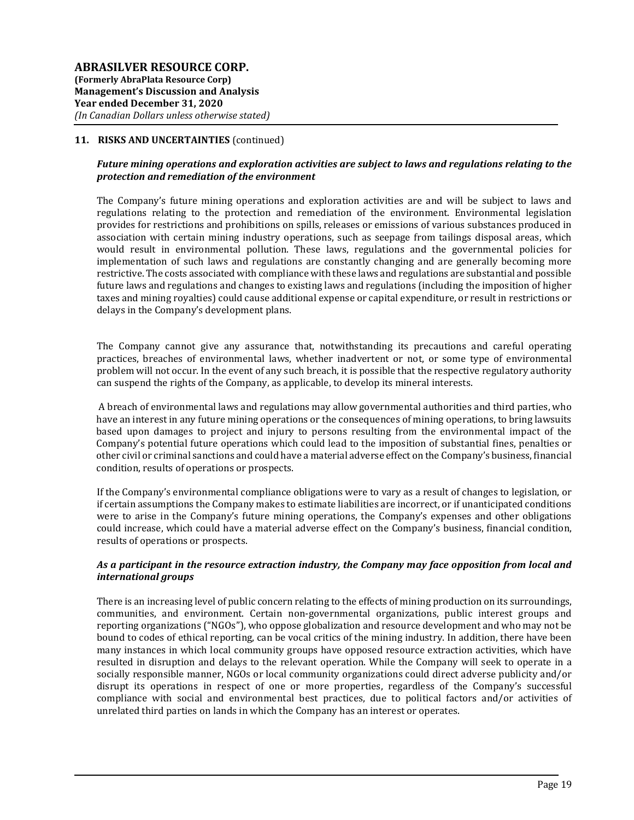## Future mining operations and exploration activities are subject to laws and regulations relating to the protection and remediation of the environment

The Company's future mining operations and exploration activities are and will be subject to laws and regulations relating to the protection and remediation of the environment. Environmental legislation provides for restrictions and prohibitions on spills, releases or emissions of various substances produced in association with certain mining industry operations, such as seepage from tailings disposal areas, which would result in environmental pollution. These laws, regulations and the governmental policies for implementation of such laws and regulations are constantly changing and are generally becoming more restrictive. The costs associated with compliance with these laws and regulations are substantial and possible future laws and regulations and changes to existing laws and regulations (including the imposition of higher taxes and mining royalties) could cause additional expense or capital expenditure, or result in restrictions or delays in the Company's development plans.

The Company cannot give any assurance that, notwithstanding its precautions and careful operating practices, breaches of environmental laws, whether inadvertent or not, or some type of environmental problem will not occur. In the event of any such breach, it is possible that the respective regulatory authority can suspend the rights of the Company, as applicable, to develop its mineral interests.

 A breach of environmental laws and regulations may allow governmental authorities and third parties, who have an interest in any future mining operations or the consequences of mining operations, to bring lawsuits based upon damages to project and injury to persons resulting from the environmental impact of the Company's potential future operations which could lead to the imposition of substantial fines, penalties or other civil or criminal sanctions and could have a material adverse effect on the Company's business, financial condition, results of operations or prospects.

If the Company's environmental compliance obligations were to vary as a result of changes to legislation, or if certain assumptions the Company makes to estimate liabilities are incorrect, or if unanticipated conditions were to arise in the Company's future mining operations, the Company's expenses and other obligations could increase, which could have a material adverse effect on the Company's business, financial condition, results of operations or prospects.

### As a participant in the resource extraction industry, the Company may face opposition from local and international groups

There is an increasing level of public concern relating to the effects of mining production on its surroundings, communities, and environment. Certain non-governmental organizations, public interest groups and reporting organizations ("NGOs"), who oppose globalization and resource development and who may not be bound to codes of ethical reporting, can be vocal critics of the mining industry. In addition, there have been many instances in which local community groups have opposed resource extraction activities, which have resulted in disruption and delays to the relevant operation. While the Company will seek to operate in a socially responsible manner, NGOs or local community organizations could direct adverse publicity and/or disrupt its operations in respect of one or more properties, regardless of the Company's successful compliance with social and environmental best practices, due to political factors and/or activities of unrelated third parties on lands in which the Company has an interest or operates.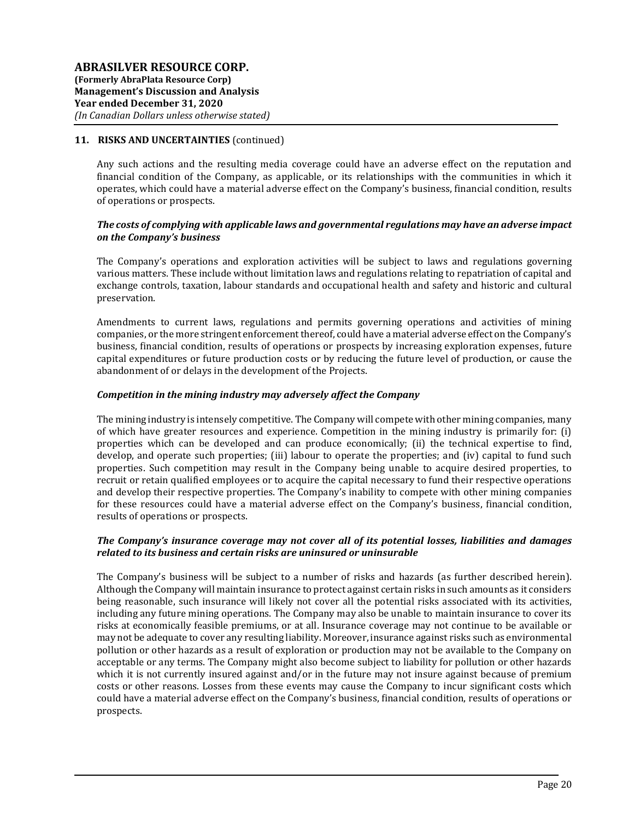Any such actions and the resulting media coverage could have an adverse effect on the reputation and financial condition of the Company, as applicable, or its relationships with the communities in which it operates, which could have a material adverse effect on the Company's business, financial condition, results of operations or prospects.

## The costs of complying with applicable laws and governmental regulations may have an adverse impact on the Company's business

The Company's operations and exploration activities will be subject to laws and regulations governing various matters. These include without limitation laws and regulations relating to repatriation of capital and exchange controls, taxation, labour standards and occupational health and safety and historic and cultural preservation.

Amendments to current laws, regulations and permits governing operations and activities of mining companies, or the more stringent enforcement thereof, could have a material adverse effect on the Company's business, financial condition, results of operations or prospects by increasing exploration expenses, future capital expenditures or future production costs or by reducing the future level of production, or cause the abandonment of or delays in the development of the Projects.

### Competition in the mining industry may adversely affect the Company

The mining industry is intensely competitive. The Company will compete with other mining companies, many of which have greater resources and experience. Competition in the mining industry is primarily for: (i) properties which can be developed and can produce economically; (ii) the technical expertise to find, develop, and operate such properties; (iii) labour to operate the properties; and (iv) capital to fund such properties. Such competition may result in the Company being unable to acquire desired properties, to recruit or retain qualified employees or to acquire the capital necessary to fund their respective operations and develop their respective properties. The Company's inability to compete with other mining companies for these resources could have a material adverse effect on the Company's business, financial condition, results of operations or prospects.

### The Company's insurance coverage may not cover all of its potential losses, liabilities and damages related to its business and certain risks are uninsured or uninsurable

The Company's business will be subject to a number of risks and hazards (as further described herein). Although the Company will maintain insurance to protect against certain risks in such amounts as it considers being reasonable, such insurance will likely not cover all the potential risks associated with its activities, including any future mining operations. The Company may also be unable to maintain insurance to cover its risks at economically feasible premiums, or at all. Insurance coverage may not continue to be available or may not be adequate to cover any resulting liability. Moreover, insurance against risks such as environmental pollution or other hazards as a result of exploration or production may not be available to the Company on acceptable or any terms. The Company might also become subject to liability for pollution or other hazards which it is not currently insured against and/or in the future may not insure against because of premium costs or other reasons. Losses from these events may cause the Company to incur significant costs which could have a material adverse effect on the Company's business, financial condition, results of operations or prospects.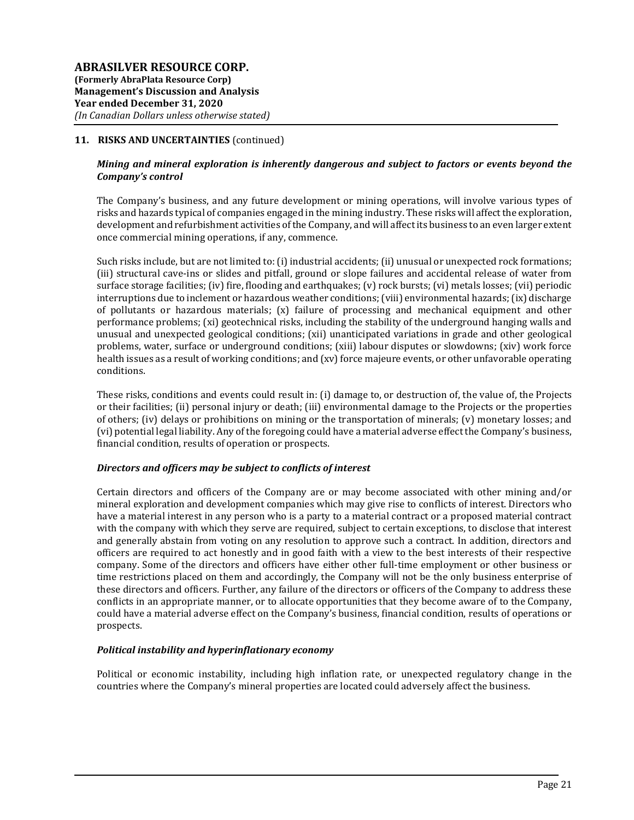## Mining and mineral exploration is inherently dangerous and subject to factors or events beyond the Company's control

The Company's business, and any future development or mining operations, will involve various types of risks and hazards typical of companies engaged in the mining industry. These risks will affect the exploration, development and refurbishment activities of the Company, and will affect its business to an even larger extent once commercial mining operations, if any, commence.

Such risks include, but are not limited to: (i) industrial accidents; (ii) unusual or unexpected rock formations; (iii) structural cave-ins or slides and pitfall, ground or slope failures and accidental release of water from surface storage facilities; (iv) fire, flooding and earthquakes; (v) rock bursts; (vi) metals losses; (vii) periodic interruptions due to inclement or hazardous weather conditions; (viii) environmental hazards; (ix) discharge of pollutants or hazardous materials; (x) failure of processing and mechanical equipment and other performance problems; (xi) geotechnical risks, including the stability of the underground hanging walls and unusual and unexpected geological conditions; (xii) unanticipated variations in grade and other geological problems, water, surface or underground conditions; (xiii) labour disputes or slowdowns; (xiv) work force health issues as a result of working conditions; and (xv) force majeure events, or other unfavorable operating conditions.

These risks, conditions and events could result in: (i) damage to, or destruction of, the value of, the Projects or their facilities; (ii) personal injury or death; (iii) environmental damage to the Projects or the properties of others; (iv) delays or prohibitions on mining or the transportation of minerals; (v) monetary losses; and (vi) potential legal liability. Any of the foregoing could have a material adverse effect the Company's business, financial condition, results of operation or prospects.

### Directors and officers may be subject to conflicts of interest

Certain directors and officers of the Company are or may become associated with other mining and/or mineral exploration and development companies which may give rise to conflicts of interest. Directors who have a material interest in any person who is a party to a material contract or a proposed material contract with the company with which they serve are required, subject to certain exceptions, to disclose that interest and generally abstain from voting on any resolution to approve such a contract. In addition, directors and officers are required to act honestly and in good faith with a view to the best interests of their respective company. Some of the directors and officers have either other full-time employment or other business or time restrictions placed on them and accordingly, the Company will not be the only business enterprise of these directors and officers. Further, any failure of the directors or officers of the Company to address these conflicts in an appropriate manner, or to allocate opportunities that they become aware of to the Company, could have a material adverse effect on the Company's business, financial condition, results of operations or prospects.

### Political instability and hyperinflationary economy

Political or economic instability, including high inflation rate, or unexpected regulatory change in the countries where the Company's mineral properties are located could adversely affect the business.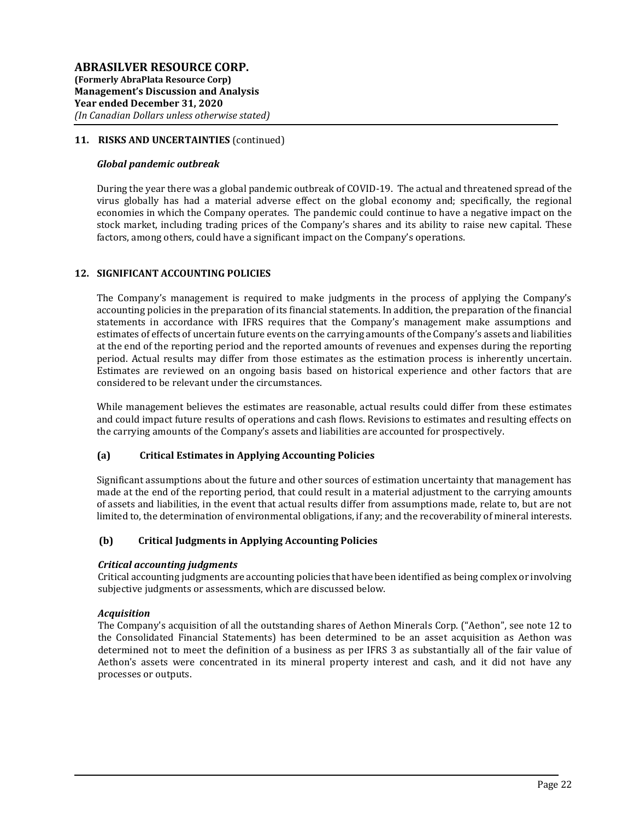#### Global pandemic outbreak

During the year there was a global pandemic outbreak of COVID-19. The actual and threatened spread of the virus globally has had a material adverse effect on the global economy and; specifically, the regional economies in which the Company operates. The pandemic could continue to have a negative impact on the stock market, including trading prices of the Company's shares and its ability to raise new capital. These factors, among others, could have a significant impact on the Company's operations.

### 12. SIGNIFICANT ACCOUNTING POLICIES

The Company's management is required to make judgments in the process of applying the Company's accounting policies in the preparation of its financial statements. In addition, the preparation of the financial statements in accordance with IFRS requires that the Company's management make assumptions and estimates of effects of uncertain future events on the carrying amounts of the Company's assets and liabilities at the end of the reporting period and the reported amounts of revenues and expenses during the reporting period. Actual results may differ from those estimates as the estimation process is inherently uncertain. Estimates are reviewed on an ongoing basis based on historical experience and other factors that are considered to be relevant under the circumstances.

While management believes the estimates are reasonable, actual results could differ from these estimates and could impact future results of operations and cash flows. Revisions to estimates and resulting effects on the carrying amounts of the Company's assets and liabilities are accounted for prospectively.

### (a) Critical Estimates in Applying Accounting Policies

Significant assumptions about the future and other sources of estimation uncertainty that management has made at the end of the reporting period, that could result in a material adjustment to the carrying amounts of assets and liabilities, in the event that actual results differ from assumptions made, relate to, but are not limited to, the determination of environmental obligations, if any; and the recoverability of mineral interests.

### (b) Critical Judgments in Applying Accounting Policies

### Critical accounting judgments

Critical accounting judgments are accounting policies that have been identified as being complex or involving subjective judgments or assessments, which are discussed below.

### Acquisition

The Company's acquisition of all the outstanding shares of Aethon Minerals Corp. ("Aethon", see note 12 to the Consolidated Financial Statements) has been determined to be an asset acquisition as Aethon was determined not to meet the definition of a business as per IFRS 3 as substantially all of the fair value of Aethon's assets were concentrated in its mineral property interest and cash, and it did not have any processes or outputs.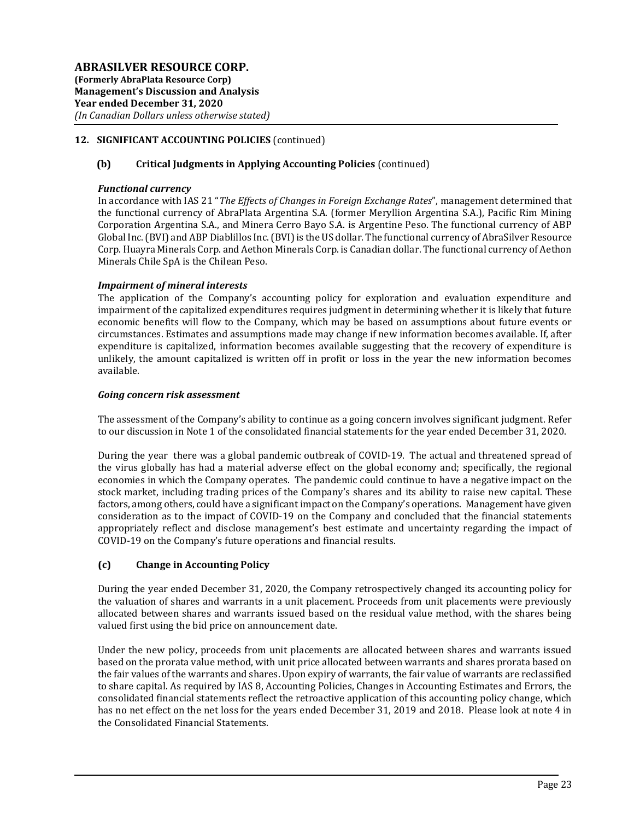# 12. SIGNIFICANT ACCOUNTING POLICIES (continued)

## (b) Critical Judgments in Applying Accounting Policies (continued)

### Functional currency

In accordance with IAS 21 "The Effects of Changes in Foreign Exchange Rates", management determined that the functional currency of AbraPlata Argentina S.A. (former Meryllion Argentina S.A.), Pacific Rim Mining Corporation Argentina S.A., and Minera Cerro Bayo S.A. is Argentine Peso. The functional currency of ABP Global Inc. (BVI) and ABP Diablillos Inc. (BVI) is the US dollar. The functional currency of AbraSilver Resource Corp. Huayra Minerals Corp. and Aethon Minerals Corp. is Canadian dollar. The functional currency of Aethon Minerals Chile SpA is the Chilean Peso.

## Impairment of mineral interests

The application of the Company's accounting policy for exploration and evaluation expenditure and impairment of the capitalized expenditures requires judgment in determining whether it is likely that future economic benefits will flow to the Company, which may be based on assumptions about future events or circumstances. Estimates and assumptions made may change if new information becomes available. If, after expenditure is capitalized, information becomes available suggesting that the recovery of expenditure is unlikely, the amount capitalized is written off in profit or loss in the year the new information becomes available.

### Going concern risk assessment

The assessment of the Company's ability to continue as a going concern involves significant judgment. Refer to our discussion in Note 1 of the consolidated financial statements for the year ended December 31, 2020.

During the year there was a global pandemic outbreak of COVID-19. The actual and threatened spread of the virus globally has had a material adverse effect on the global economy and; specifically, the regional economies in which the Company operates. The pandemic could continue to have a negative impact on the stock market, including trading prices of the Company's shares and its ability to raise new capital. These factors, among others, could have a significant impact on the Company's operations. Management have given consideration as to the impact of COVID-19 on the Company and concluded that the financial statements appropriately reflect and disclose management's best estimate and uncertainty regarding the impact of COVID-19 on the Company's future operations and financial results.

# (c) Change in Accounting Policy

During the year ended December 31, 2020, the Company retrospectively changed its accounting policy for the valuation of shares and warrants in a unit placement. Proceeds from unit placements were previously allocated between shares and warrants issued based on the residual value method, with the shares being valued first using the bid price on announcement date.

Under the new policy, proceeds from unit placements are allocated between shares and warrants issued based on the prorata value method, with unit price allocated between warrants and shares prorata based on the fair values of the warrants and shares. Upon expiry of warrants, the fair value of warrants are reclassified to share capital. As required by IAS 8, Accounting Policies, Changes in Accounting Estimates and Errors, the consolidated financial statements reflect the retroactive application of this accounting policy change, which has no net effect on the net loss for the years ended December 31, 2019 and 2018. Please look at note 4 in the Consolidated Financial Statements.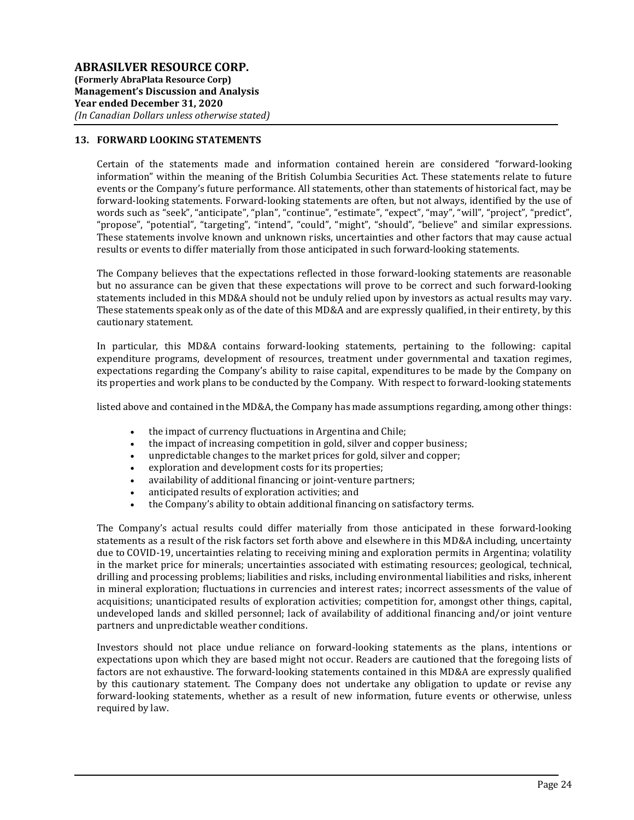### 13. FORWARD LOOKING STATEMENTS

Certain of the statements made and information contained herein are considered "forward-looking information" within the meaning of the British Columbia Securities Act. These statements relate to future events or the Company's future performance. All statements, other than statements of historical fact, may be forward-looking statements. Forward-looking statements are often, but not always, identified by the use of words such as "seek", "anticipate", "plan", "continue", "estimate", "expect", "may", "will", "project", "predict", "propose", "potential", "targeting", "intend", "could", "might", "should", "believe" and similar expressions. These statements involve known and unknown risks, uncertainties and other factors that may cause actual results or events to differ materially from those anticipated in such forward-looking statements.

The Company believes that the expectations reflected in those forward-looking statements are reasonable but no assurance can be given that these expectations will prove to be correct and such forward-looking statements included in this MD&A should not be unduly relied upon by investors as actual results may vary. These statements speak only as of the date of this MD&A and are expressly qualified, in their entirety, by this cautionary statement.

In particular, this MD&A contains forward-looking statements, pertaining to the following: capital expenditure programs, development of resources, treatment under governmental and taxation regimes, expectations regarding the Company's ability to raise capital, expenditures to be made by the Company on its properties and work plans to be conducted by the Company. With respect to forward-looking statements

listed above and contained in the MD&A, the Company has made assumptions regarding, among other things:

- the impact of currency fluctuations in Argentina and Chile;
- the impact of increasing competition in gold, silver and copper business;
- unpredictable changes to the market prices for gold, silver and copper;
- exploration and development costs for its properties;
- availability of additional financing or joint-venture partners;
- anticipated results of exploration activities; and
- the Company's ability to obtain additional financing on satisfactory terms.

The Company's actual results could differ materially from those anticipated in these forward-looking statements as a result of the risk factors set forth above and elsewhere in this MD&A including, uncertainty due to COVID-19, uncertainties relating to receiving mining and exploration permits in Argentina; volatility in the market price for minerals; uncertainties associated with estimating resources; geological, technical, drilling and processing problems; liabilities and risks, including environmental liabilities and risks, inherent in mineral exploration; fluctuations in currencies and interest rates; incorrect assessments of the value of acquisitions; unanticipated results of exploration activities; competition for, amongst other things, capital, undeveloped lands and skilled personnel; lack of availability of additional financing and/or joint venture partners and unpredictable weather conditions.

Investors should not place undue reliance on forward-looking statements as the plans, intentions or expectations upon which they are based might not occur. Readers are cautioned that the foregoing lists of factors are not exhaustive. The forward-looking statements contained in this MD&A are expressly qualified by this cautionary statement. The Company does not undertake any obligation to update or revise any forward-looking statements, whether as a result of new information, future events or otherwise, unless required by law.